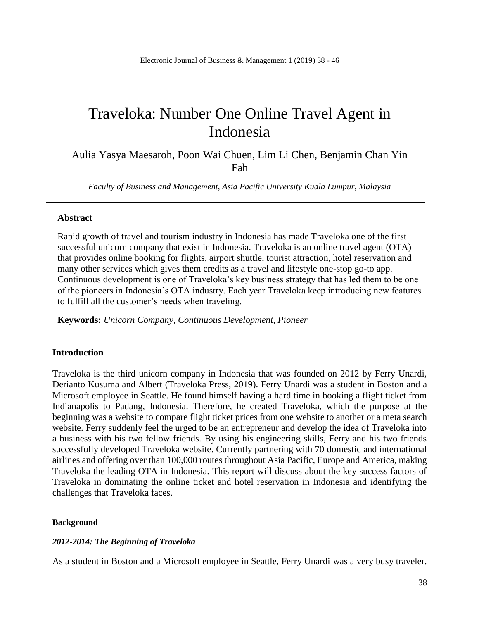# Traveloka: Number One Online Travel Agent in Indonesia

Aulia Yasya Maesaroh, Poon Wai Chuen, Lim Li Chen, Benjamin Chan Yin Fah

*Faculty of Business and Management, Asia Pacific University Kuala Lumpur, Malaysia*

#### **Abstract**

Rapid growth of travel and tourism industry in Indonesia has made Traveloka one of the first successful unicorn company that exist in Indonesia. Traveloka is an online travel agent (OTA) that provides online booking for flights, airport shuttle, tourist attraction, hotel reservation and many other services which gives them credits as a travel and lifestyle one-stop go-to app. Continuous development is one of Traveloka's key business strategy that has led them to be one of the pioneers in Indonesia's OTA industry. Each year Traveloka keep introducing new features to fulfill all the customer's needs when traveling.

**Keywords:** *Unicorn Company, Continuous Development, Pioneer*

## **Introduction**

Traveloka is the third unicorn company in Indonesia that was founded on 2012 by Ferry Unardi, Derianto Kusuma and Albert (Traveloka Press, 2019). Ferry Unardi was a student in Boston and a Microsoft employee in Seattle. He found himself having a hard time in booking a flight ticket from Indianapolis to Padang, Indonesia. Therefore, he created Traveloka, which the purpose at the beginning was a website to compare flight ticket prices from one website to another or a meta search website. Ferry suddenly feel the urged to be an entrepreneur and develop the idea of Traveloka into a business with his two fellow friends. By using his engineering skills, Ferry and his two friends successfully developed Traveloka website. Currently partnering with 70 domestic and international airlines and offering over than 100,000 routes throughout Asia Pacific, Europe and America, making Traveloka the leading OTA in Indonesia. This report will discuss about the key success factors of Traveloka in dominating the online ticket and hotel reservation in Indonesia and identifying the challenges that Traveloka faces.

#### **Background**

## *2012-2014: The Beginning of Traveloka*

As a student in Boston and a Microsoft employee in Seattle, Ferry Unardi was a very busy traveler.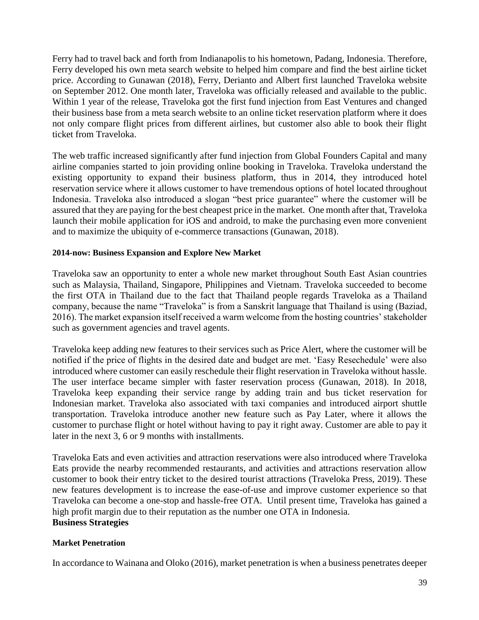Ferry had to travel back and forth from Indianapolis to his hometown, Padang, Indonesia. Therefore, Ferry developed his own meta search website to helped him compare and find the best airline ticket price. According to Gunawan (2018), Ferry, Derianto and Albert first launched Traveloka website on September 2012. One month later, Traveloka was officially released and available to the public. Within 1 year of the release, Traveloka got the first fund injection from East Ventures and changed their business base from a meta search website to an online ticket reservation platform where it does not only compare flight prices from different airlines, but customer also able to book their flight ticket from Traveloka.

The web traffic increased significantly after fund injection from Global Founders Capital and many airline companies started to join providing online booking in Traveloka. Traveloka understand the existing opportunity to expand their business platform, thus in 2014, they introduced hotel reservation service where it allows customer to have tremendous options of hotel located throughout Indonesia. Traveloka also introduced a slogan "best price guarantee" where the customer will be assured that they are paying for the best cheapest price in the market. One month after that, Traveloka launch their mobile application for iOS and android, to make the purchasing even more convenient and to maximize the ubiquity of e-commerce transactions (Gunawan, 2018).

# **2014-now: Business Expansion and Explore New Market**

Traveloka saw an opportunity to enter a whole new market throughout South East Asian countries such as Malaysia, Thailand, Singapore, Philippines and Vietnam. Traveloka succeeded to become the first OTA in Thailand due to the fact that Thailand people regards Traveloka as a Thailand company, because the name "Traveloka" is from a Sanskrit language that Thailand is using (Baziad, 2016). The market expansion itself received a warm welcome from the hosting countries' stakeholder such as government agencies and travel agents.

Traveloka keep adding new features to their services such as Price Alert, where the customer will be notified if the price of flights in the desired date and budget are met. 'Easy Resechedule' were also introduced where customer can easily reschedule their flight reservation in Traveloka without hassle. The user interface became simpler with faster reservation process (Gunawan, 2018). In 2018, Traveloka keep expanding their service range by adding train and bus ticket reservation for Indonesian market. Traveloka also associated with taxi companies and introduced airport shuttle transportation. Traveloka introduce another new feature such as Pay Later, where it allows the customer to purchase flight or hotel without having to pay it right away. Customer are able to pay it later in the next 3, 6 or 9 months with installments.

Traveloka Eats and even activities and attraction reservations were also introduced where Traveloka Eats provide the nearby recommended restaurants, and activities and attractions reservation allow customer to book their entry ticket to the desired tourist attractions (Traveloka Press, 2019). These new features development is to increase the ease-of-use and improve customer experience so that Traveloka can become a one-stop and hassle-free OTA. Until present time, Traveloka has gained a high profit margin due to their reputation as the number one OTA in Indonesia. **Business Strategies**

## **Market Penetration**

In accordance to Wainana and Oloko (2016), market penetration is when a business penetrates deeper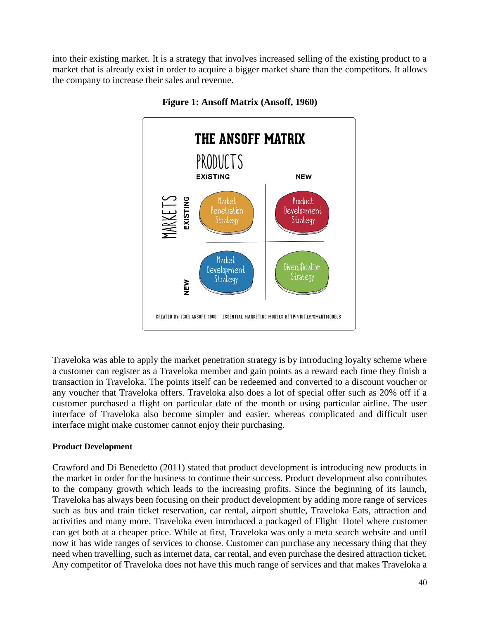into their existing market. It is a strategy that involves increased selling of the existing product to a market that is already exist in order to acquire a bigger market share than the competitors. It allows the company to increase their sales and revenue.



# **Figure 1: Ansoff Matrix (Ansoff, 1960)**

Traveloka was able to apply the market penetration strategy is by introducing loyalty scheme where a customer can register as a Traveloka member and gain points as a reward each time they finish a transaction in Traveloka. The points itself can be redeemed and converted to a discount voucher or any voucher that Traveloka offers. Traveloka also does a lot of special offer such as 20% off if a customer purchased a flight on particular date of the month or using particular airline. The user interface of Traveloka also become simpler and easier, whereas complicated and difficult user interface might make customer cannot enjoy their purchasing.

# **Product Development**

Crawford and Di Benedetto (2011) stated that product development is introducing new products in the market in order for the business to continue their success. Product development also contributes to the company growth which leads to the increasing profits. Since the beginning of its launch, Traveloka has always been focusing on their product development by adding more range of services such as bus and train ticket reservation, car rental, airport shuttle, Traveloka Eats, attraction and activities and many more. Traveloka even introduced a packaged of Flight+Hotel where customer can get both at a cheaper price. While at first, Traveloka was only a meta search website and until now it has wide ranges of services to choose. Customer can purchase any necessary thing that they need when travelling, such as internet data, car rental, and even purchase the desired attraction ticket. Any competitor of Traveloka does not have this much range of services and that makes Traveloka a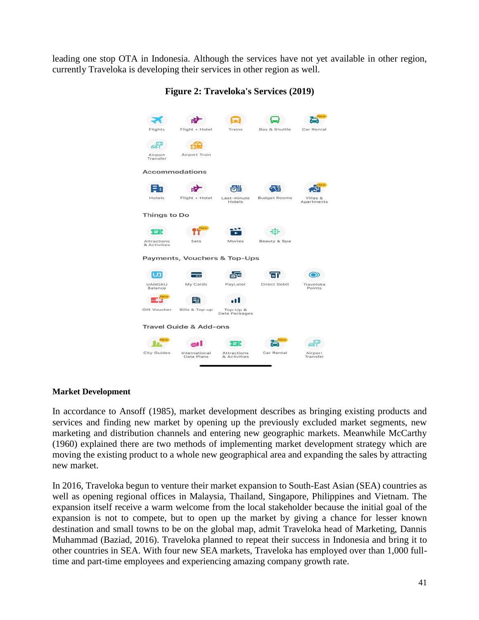leading one stop OTA in Indonesia. Although the services have not yet available in other region, currently Traveloka is developing their services in other region as well.

| Flights                                                | Flight + Hotel              | Trains                      | <b>Bus &amp; Shuttle</b> | Navou<br>Car Rental                  |
|--------------------------------------------------------|-----------------------------|-----------------------------|--------------------------|--------------------------------------|
| Airport<br>Transfer                                    | Airport Train               |                             |                          |                                      |
| Accommodations                                         |                             |                             |                          |                                      |
| Hotels                                                 | Flight + Hotel              | Last-minute<br>Hotels       | <b>Budget Rooms</b>      | <b>New</b><br>Villas &<br>Apartments |
| <b>Things to Do</b>                                    |                             |                             |                          |                                      |
| Attractions<br>& Activities                            | New<br>Eats                 | Movies                      | Beauty & Spa             |                                      |
| Payments, Vouchers & Top-Ups                           |                             |                             |                          |                                      |
| <b>UANGKU</b><br>Balance                               | My Cards                    | 庙<br>PayLater               | Direct Debit             | Traveloka<br>Points                  |
| New<br>Gift Voucher                                    | ⋿<br>Bills & Top-up         | Top-Up &<br>Data Packages   |                          |                                      |
| <b>Travel Guide &amp; Add-ons</b><br><b>New</b><br>lew |                             |                             |                          |                                      |
| City Guides                                            | International<br>Data Plans | Attractions<br>& Activities | Car Rental               | Airport<br>Transfer                  |
|                                                        |                             |                             |                          |                                      |

**Figure 2: Traveloka's Services (2019)**

## **Market Development**

In accordance to Ansoff (1985), market development describes as bringing existing products and services and finding new market by opening up the previously excluded market segments, new marketing and distribution channels and entering new geographic markets. Meanwhile McCarthy (1960) explained there are two methods of implementing market development strategy which are moving the existing product to a whole new geographical area and expanding the sales by attracting new market.

In 2016, Traveloka begun to venture their market expansion to South-East Asian (SEA) countries as well as opening regional offices in Malaysia, Thailand, Singapore, Philippines and Vietnam. The expansion itself receive a warm welcome from the local stakeholder because the initial goal of the expansion is not to compete, but to open up the market by giving a chance for lesser known destination and small towns to be on the global map, admit Traveloka head of Marketing, Dannis Muhammad (Baziad, 2016). Traveloka planned to repeat their success in Indonesia and bring it to other countries in SEA. With four new SEA markets, Traveloka has employed over than 1,000 fulltime and part-time employees and experiencing amazing company growth rate.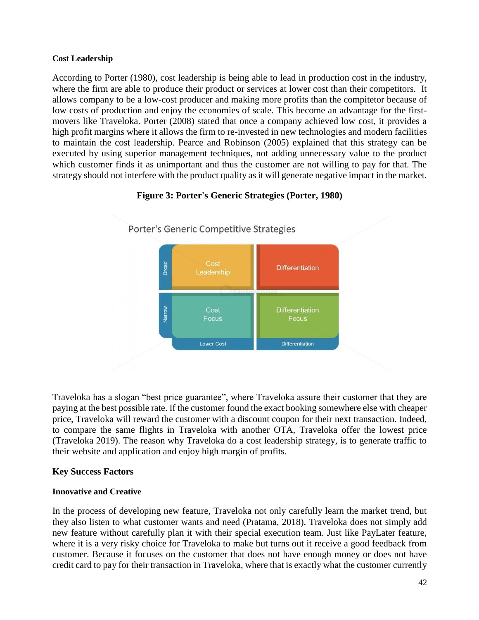# **Cost Leadership**

According to Porter (1980), cost leadership is being able to lead in production cost in the industry, where the firm are able to produce their product or services at lower cost than their competitors. It allows company to be a low-cost producer and making more profits than the compitetor because of low costs of production and enjoy the economies of scale. This become an advantage for the firstmovers like Traveloka. Porter (2008) stated that once a company achieved low cost, it provides a high profit margins where it allows the firm to re-invested in new technologies and modern facilities to maintain the cost leadership. Pearce and Robinson (2005) explained that this strategy can be executed by using superior management techniques, not adding unnecessary value to the product which customer finds it as unimportant and thus the customer are not willing to pay for that. The strategy should not interfere with the product quality as it will generate negative impact in the market.



# **Figure 3: Porter's Generic Strategies (Porter, 1980)**

Traveloka has a slogan "best price guarantee", where Traveloka assure their customer that they are paying at the best possible rate. If the customer found the exact booking somewhere else with cheaper price, Traveloka will reward the customer with a discount coupon for their next transaction. Indeed, to compare the same flights in Traveloka with another OTA, Traveloka offer the lowest price (Traveloka 2019). The reason why Traveloka do a cost leadership strategy, is to generate traffic to their website and application and enjoy high margin of profits.

# **Key Success Factors**

# **Innovative and Creative**

In the process of developing new feature, Traveloka not only carefully learn the market trend, but they also listen to what customer wants and need (Pratama, 2018). Traveloka does not simply add new feature without carefully plan it with their special execution team. Just like PayLater feature, where it is a very risky choice for Traveloka to make but turns out it receive a good feedback from customer. Because it focuses on the customer that does not have enough money or does not have credit card to pay for their transaction in Traveloka, where that is exactly what the customer currently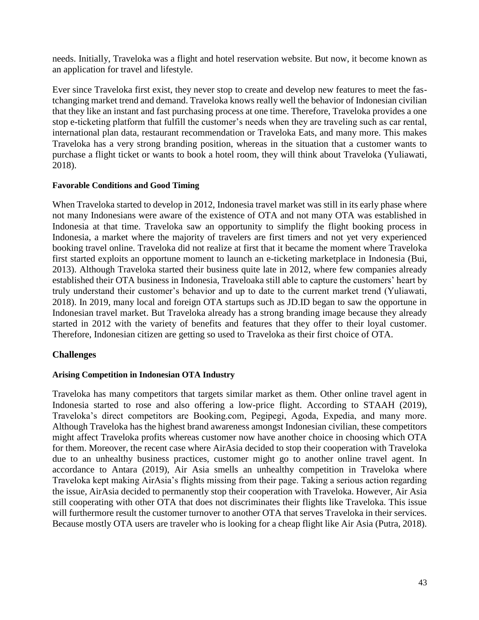needs. Initially, Traveloka was a flight and hotel reservation website. But now, it become known as an application for travel and lifestyle.

Ever since Traveloka first exist, they never stop to create and develop new features to meet the fastchanging market trend and demand. Traveloka knows really well the behavior of Indonesian civilian that they like an instant and fast purchasing process at one time. Therefore, Traveloka provides a one stop e-ticketing platform that fulfill the customer's needs when they are traveling such as car rental, international plan data, restaurant recommendation or Traveloka Eats, and many more. This makes Traveloka has a very strong branding position, whereas in the situation that a customer wants to purchase a flight ticket or wants to book a hotel room, they will think about Traveloka (Yuliawati, 2018).

# **Favorable Conditions and Good Timing**

When Traveloka started to develop in 2012, Indonesia travel market was still in its early phase where not many Indonesians were aware of the existence of OTA and not many OTA was established in Indonesia at that time. Traveloka saw an opportunity to simplify the flight booking process in Indonesia, a market where the majority of travelers are first timers and not yet very experienced booking travel online. Traveloka did not realize at first that it became the moment where Traveloka first started exploits an opportune moment to launch an e-ticketing marketplace in Indonesia (Bui, 2013). Although Traveloka started their business quite late in 2012, where few companies already established their OTA business in Indonesia, Traveloaka still able to capture the customers' heart by truly understand their customer's behavior and up to date to the current market trend (Yuliawati, 2018). In 2019, many local and foreign OTA startups such as JD.ID began to saw the opportune in Indonesian travel market. But Traveloka already has a strong branding image because they already started in 2012 with the variety of benefits and features that they offer to their loyal customer. Therefore, Indonesian citizen are getting so used to Traveloka as their first choice of OTA.

# **Challenges**

## **Arising Competition in Indonesian OTA Industry**

Traveloka has many competitors that targets similar market as them. Other online travel agent in Indonesia started to rose and also offering a low-price flight. According to STAAH (2019), Traveloka's direct competitors are Booking.com, Pegipegi, Agoda, Expedia, and many more. Although Traveloka has the highest brand awareness amongst Indonesian civilian, these competitors might affect Traveloka profits whereas customer now have another choice in choosing which OTA for them. Moreover, the recent case where AirAsia decided to stop their cooperation with Traveloka due to an unhealthy business practices, customer might go to another online travel agent. In accordance to Antara (2019), Air Asia smells an unhealthy competition in Traveloka where Traveloka kept making AirAsia's flights missing from their page. Taking a serious action regarding the issue, AirAsia decided to permanently stop their cooperation with Traveloka. However, Air Asia still cooperating with other OTA that does not discriminates their flights like Traveloka. This issue will furthermore result the customer turnover to another OTA that serves Traveloka in their services. Because mostly OTA users are traveler who is looking for a cheap flight like Air Asia (Putra, 2018).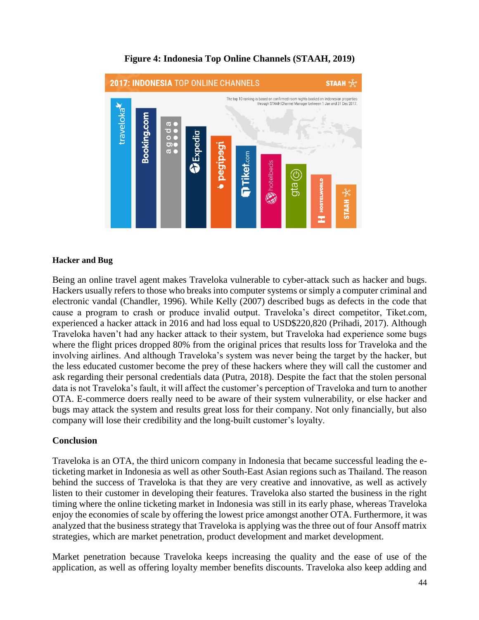

# **Figure 4: Indonesia Top Online Channels (STAAH, 2019)**

# **Hacker and Bug**

Being an online travel agent makes Traveloka vulnerable to cyber-attack such as hacker and bugs. Hackers usually refers to those who breaks into computer systems or simply a computer criminal and electronic vandal (Chandler, 1996). While Kelly (2007) described bugs as defects in the code that cause a program to crash or produce invalid output. Traveloka's direct competitor, Tiket.com, experienced a hacker attack in 2016 and had loss equal to USD\$220,820 (Prihadi, 2017). Although Traveloka haven't had any hacker attack to their system, but Traveloka had experience some bugs where the flight prices dropped 80% from the original prices that results loss for Traveloka and the involving airlines. And although Traveloka's system was never being the target by the hacker, but the less educated customer become the prey of these hackers where they will call the customer and ask regarding their personal credentials data (Putra, 2018). Despite the fact that the stolen personal data is not Traveloka's fault, it will affect the customer's perception of Traveloka and turn to another OTA. E-commerce doers really need to be aware of their system vulnerability, or else hacker and bugs may attack the system and results great loss for their company. Not only financially, but also company will lose their credibility and the long-built customer's loyalty.

# **Conclusion**

Traveloka is an OTA, the third unicorn company in Indonesia that became successful leading the eticketing market in Indonesia as well as other South-East Asian regions such as Thailand. The reason behind the success of Traveloka is that they are very creative and innovative, as well as actively listen to their customer in developing their features. Traveloka also started the business in the right timing where the online ticketing market in Indonesia was still in its early phase, whereas Traveloka enjoy the economies of scale by offering the lowest price amongst another OTA. Furthermore, it was analyzed that the business strategy that Traveloka is applying was the three out of four Ansoff matrix strategies, which are market penetration, product development and market development.

Market penetration because Traveloka keeps increasing the quality and the ease of use of the application, as well as offering loyalty member benefits discounts. Traveloka also keep adding and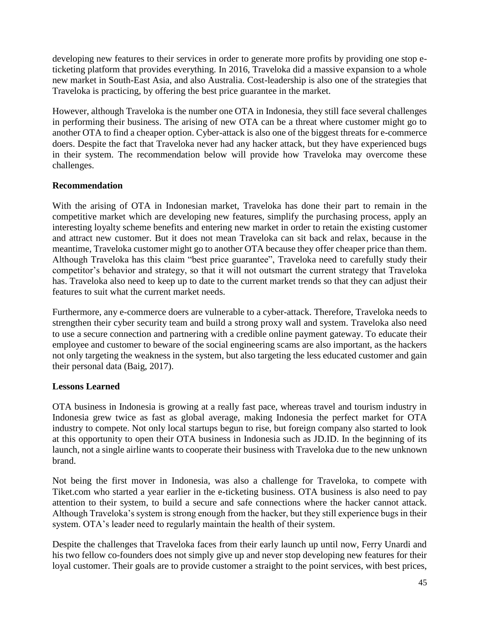developing new features to their services in order to generate more profits by providing one stop eticketing platform that provides everything. In 2016, Traveloka did a massive expansion to a whole new market in South-East Asia, and also Australia. Cost-leadership is also one of the strategies that Traveloka is practicing, by offering the best price guarantee in the market.

However, although Traveloka is the number one OTA in Indonesia, they still face several challenges in performing their business. The arising of new OTA can be a threat where customer might go to another OTA to find a cheaper option. Cyber-attack is also one of the biggest threats for e-commerce doers. Despite the fact that Traveloka never had any hacker attack, but they have experienced bugs in their system. The recommendation below will provide how Traveloka may overcome these challenges.

# **Recommendation**

With the arising of OTA in Indonesian market, Traveloka has done their part to remain in the competitive market which are developing new features, simplify the purchasing process, apply an interesting loyalty scheme benefits and entering new market in order to retain the existing customer and attract new customer. But it does not mean Traveloka can sit back and relax, because in the meantime, Traveloka customer might go to another OTA because they offer cheaper price than them. Although Traveloka has this claim "best price guarantee", Traveloka need to carefully study their competitor's behavior and strategy, so that it will not outsmart the current strategy that Traveloka has. Traveloka also need to keep up to date to the current market trends so that they can adjust their features to suit what the current market needs.

Furthermore, any e-commerce doers are vulnerable to a cyber-attack. Therefore, Traveloka needs to strengthen their cyber security team and build a strong proxy wall and system. Traveloka also need to use a secure connection and partnering with a credible online payment gateway. To educate their employee and customer to beware of the social engineering scams are also important, as the hackers not only targeting the weakness in the system, but also targeting the less educated customer and gain their personal data (Baig, 2017).

# **Lessons Learned**

OTA business in Indonesia is growing at a really fast pace, whereas travel and tourism industry in Indonesia grew twice as fast as global average, making Indonesia the perfect market for OTA industry to compete. Not only local startups begun to rise, but foreign company also started to look at this opportunity to open their OTA business in Indonesia such as JD.ID. In the beginning of its launch, not a single airline wants to cooperate their business with Traveloka due to the new unknown brand.

Not being the first mover in Indonesia, was also a challenge for Traveloka, to compete with Tiket.com who started a year earlier in the e-ticketing business. OTA business is also need to pay attention to their system, to build a secure and safe connections where the hacker cannot attack. Although Traveloka's system is strong enough from the hacker, but they still experience bugs in their system. OTA's leader need to regularly maintain the health of their system.

Despite the challenges that Traveloka faces from their early launch up until now, Ferry Unardi and his two fellow co-founders does not simply give up and never stop developing new features for their loyal customer. Their goals are to provide customer a straight to the point services, with best prices,